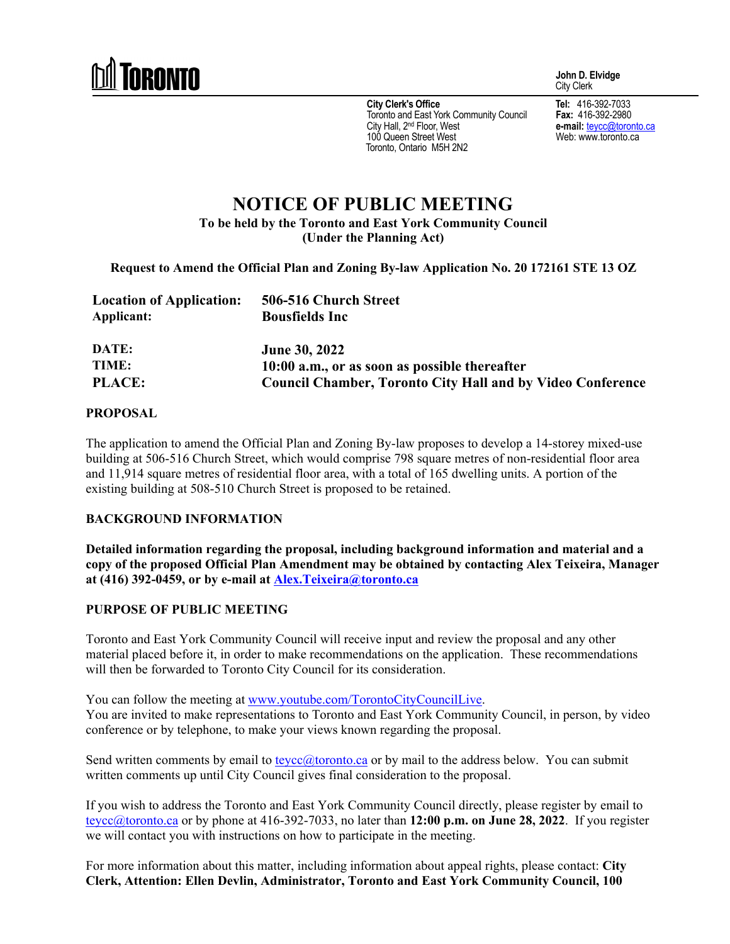

**John D. Elvidge**  City Clerk

**City Clerk's Office**  Toronto and East York Community Council City Hall, 2<sup>nd</sup> Floor, West 100 Queen Street West Toronto, Ontario M5H 2N2

**Tel:** 416-392-7033 **Fax:** 416-392-2980 **e-mail:** teycc@toronto.ca Web: www.toronto.ca

# **NOTICE OF PUBLIC MEETING To be held by the Toronto and East York Community Council (Under the Planning Act)**

**Request to Amend the Official Plan and Zoning By-law Application No. 20 172161 STE 13 OZ** 

| <b>Location of Application:</b> | 506-516 Church Street                                             |
|---------------------------------|-------------------------------------------------------------------|
| Applicant:                      | <b>Bousfields Inc</b>                                             |
|                                 |                                                                   |
| DATE:                           | <b>June 30, 2022</b>                                              |
| TIME:                           | 10:00 a.m., or as soon as possible thereafter                     |
| <b>PLACE:</b>                   | <b>Council Chamber, Toronto City Hall and by Video Conference</b> |

#### **PROPOSAL**

The application to amend the Official Plan and Zoning By-law proposes to develop a 14-storey mixed-use building at 506-516 Church Street, which would comprise 798 square metres of non-residential floor area and 11,914 square metres of residential floor area, with a total of 165 dwelling units. A portion of the existing building at 508-510 Church Street is proposed to be retained.

#### **BACKGROUND INFORMATION**

**Detailed information regarding the proposal, including background information and material and a copy of the proposed Official Plan Amendment may be obtained by contacting Alex Teixeira, Manager at (416) 392-0459, or by e-mail at Alex.Teixeira@toronto.ca** 

### **PURPOSE OF PUBLIC MEETING**

Toronto and East York Community Council will receive input and review the proposal and any other material placed before it, in order to make recommendations on the application. These recommendations will then be forwarded to Toronto City Council for its consideration.

You can follow the meeting at www.youtube.com/TorontoCityCouncilLive. You are invited to make representations to Toronto and East York Community Council, in person, by video conference or by telephone, to make your views known regarding the proposal.

Send written comments by email to  $teycc@t$  toronto.ca or by mail to the address below. You can submit written comments up until City Council gives final consideration to the proposal.

If you wish to address the Toronto and East York Community Council directly, please register by email to teycc@toronto.ca or by phone at 416-392-7033, no later than **12:00 p.m. on June 28, 2022**. If you register we will contact you with instructions on how to participate in the meeting.

For more information about this matter, including information about appeal rights, please contact: **City Clerk, Attention: Ellen Devlin, Administrator, Toronto and East York Community Council, 100**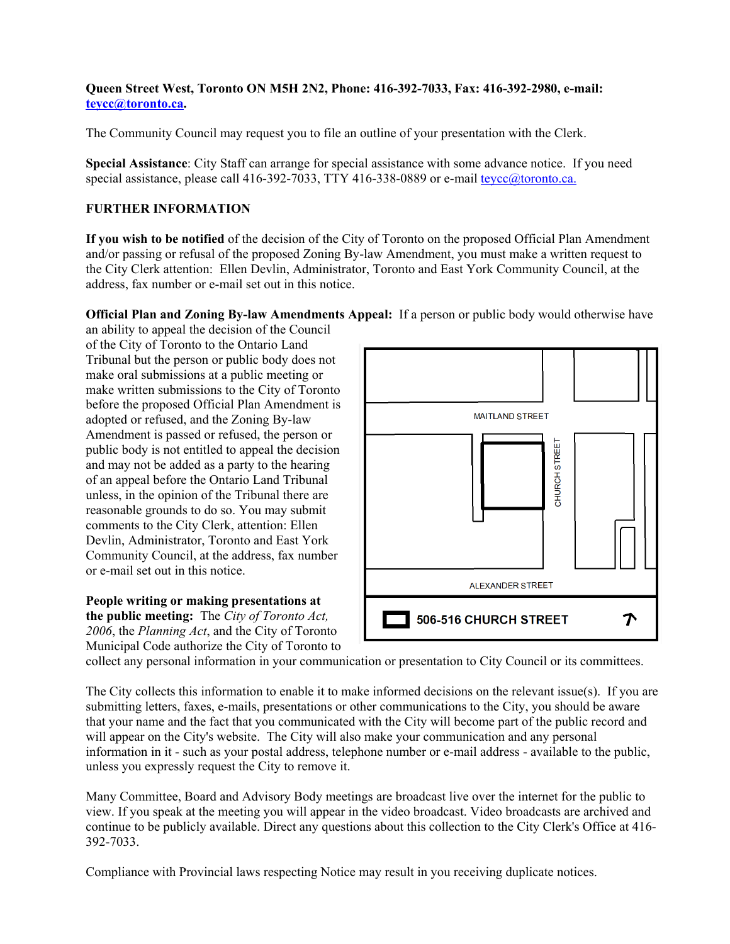### **Queen Street West, Toronto ON M5H 2N2, Phone: 416-392-7033, Fax: 416-392-2980, e-mail: teycc@toronto.ca.**

The Community Council may request you to file an outline of your presentation with the Clerk.

**Special Assistance**: City Staff can arrange for special assistance with some advance notice. If you need special assistance, please call 416-392-7033, TTY 416-338-0889 or e-mail teycc@toronto.ca.

## **FURTHER INFORMATION**

**If you wish to be notified** of the decision of the City of Toronto on the proposed Official Plan Amendment and/or passing or refusal of the proposed Zoning By-law Amendment, you must make a written request to the City Clerk attention: Ellen Devlin, Administrator, Toronto and East York Community Council, at the address, fax number or e-mail set out in this notice.

**Official Plan and Zoning By-law Amendments Appeal:** If a person or public body would otherwise have

an ability to appeal the decision of the Council of the City of Toronto to the Ontario Land Tribunal but the person or public body does not make oral submissions at a public meeting or make written submissions to the City of Toronto before the proposed Official Plan Amendment is adopted or refused, and the Zoning By-law Amendment is passed or refused, the person or public body is not entitled to appeal the decision and may not be added as a party to the hearing of an appeal before the Ontario Land Tribunal unless, in the opinion of the Tribunal there are reasonable grounds to do so. You may submit comments to the City Clerk, attention: Ellen Devlin, Administrator, Toronto and East York Community Council, at the address, fax number or e-mail set out in this notice.

**People writing or making presentations at the public meeting:** The *City of Toronto Act, 2006*, the *Planning Act*, and the City of Toronto Municipal Code authorize the City of Toronto to



collect any personal information in your communication or presentation to City Council or its committees.

The City collects this information to enable it to make informed decisions on the relevant issue(s). If you are submitting letters, faxes, e-mails, presentations or other communications to the City, you should be aware that your name and the fact that you communicated with the City will become part of the public record and will appear on the City's website. The City will also make your communication and any personal information in it - such as your postal address, telephone number or e-mail address - available to the public, unless you expressly request the City to remove it.

Many Committee, Board and Advisory Body meetings are broadcast live over the internet for the public to view. If you speak at the meeting you will appear in the video broadcast. Video broadcasts are archived and continue to be publicly available. Direct any questions about this collection to the City Clerk's Office at 416- 392-7033.

Compliance with Provincial laws respecting Notice may result in you receiving duplicate notices.